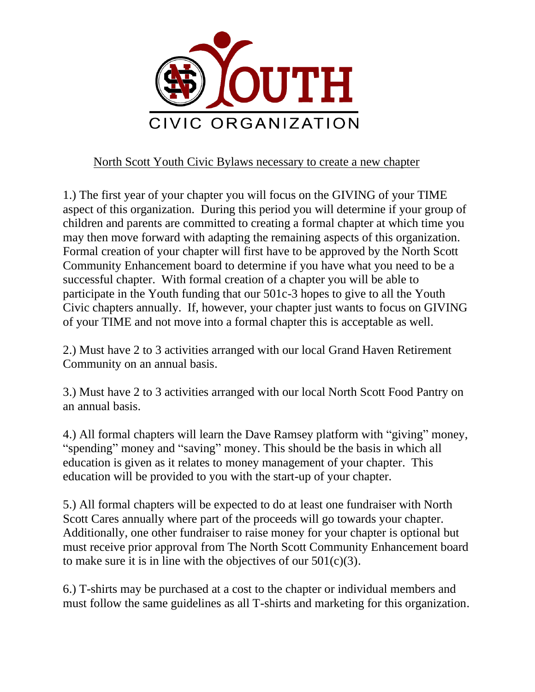

## North Scott Youth Civic Bylaws necessary to create a new chapter

1.) The first year of your chapter you will focus on the GIVING of your TIME aspect of this organization. During this period you will determine if your group of children and parents are committed to creating a formal chapter at which time you may then move forward with adapting the remaining aspects of this organization. Formal creation of your chapter will first have to be approved by the North Scott Community Enhancement board to determine if you have what you need to be a successful chapter. With formal creation of a chapter you will be able to participate in the Youth funding that our 501c-3 hopes to give to all the Youth Civic chapters annually. If, however, your chapter just wants to focus on GIVING of your TIME and not move into a formal chapter this is acceptable as well.

2.) Must have 2 to 3 activities arranged with our local Grand Haven Retirement Community on an annual basis.

3.) Must have 2 to 3 activities arranged with our local North Scott Food Pantry on an annual basis.

4.) All formal chapters will learn the Dave Ramsey platform with "giving" money, "spending" money and "saving" money. This should be the basis in which all education is given as it relates to money management of your chapter. This education will be provided to you with the start-up of your chapter.

5.) All formal chapters will be expected to do at least one fundraiser with North Scott Cares annually where part of the proceeds will go towards your chapter. Additionally, one other fundraiser to raise money for your chapter is optional but must receive prior approval from The North Scott Community Enhancement board to make sure it is in line with the objectives of our 501(c)(3).

6.) T-shirts may be purchased at a cost to the chapter or individual members and must follow the same guidelines as all T-shirts and marketing for this organization.